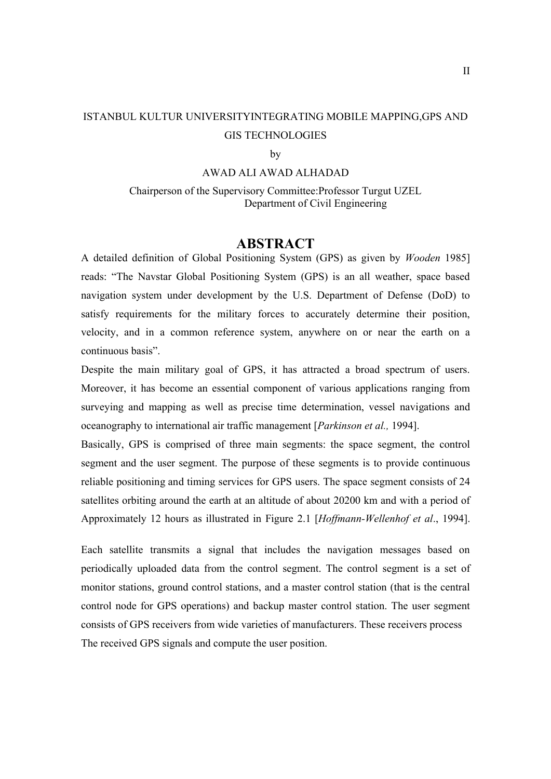# ISTANBUL KULTUR UNIVERSITYINTEGRATING MOBILE MAPPING,GPS AND GIS TECHNOLOGIES

#### by

### AWAD ALI AWAD ALHADAD

#### Chairperson of the Supervisory Committee:Professor Turgut UZEL Department of Civil Engineering

## **ABSTRACT**

A detailed definition of Global Positioning System (GPS) as given by *Wooden* 1985] reads: "The Navstar Global Positioning System (GPS) is an all weather, space based navigation system under development by the U.S. Department of Defense (DoD) to satisfy requirements for the military forces to accurately determine their position, velocity, and in a common reference system, anywhere on or near the earth on a continuous basis".

Despite the main military goal of GPS, it has attracted a broad spectrum of users. Moreover, it has become an essential component of various applications ranging from surveying and mapping as well as precise time determination, vessel navigations and oceanography to international air traffic management [*Parkinson et al.,* 1994].

Basically, GPS is comprised of three main segments: the space segment, the control segment and the user segment. The purpose of these segments is to provide continuous reliable positioning and timing services for GPS users. The space segment consists of 24 satellites orbiting around the earth at an altitude of about 20200 km and with a period of Approximately 12 hours as illustrated in Figure 2.1 [*Hoffmann-Wellenhof et al*., 1994].

Each satellite transmits a signal that includes the navigation messages based on periodically uploaded data from the control segment. The control segment is a set of monitor stations, ground control stations, and a master control station (that is the central control node for GPS operations) and backup master control station. The user segment consists of GPS receivers from wide varieties of manufacturers. These receivers process The received GPS signals and compute the user position.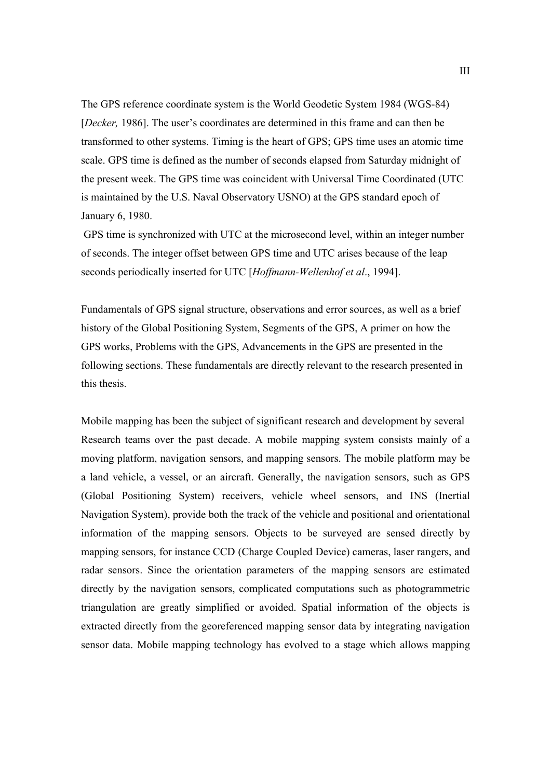The GPS reference coordinate system is the World Geodetic System 1984 (WGS-84) [*Decker,* 1986]. The user's coordinates are determined in this frame and can then be transformed to other systems. Timing is the heart of GPS; GPS time uses an atomic time scale. GPS time is defined as the number of seconds elapsed from Saturday midnight of the present week. The GPS time was coincident with Universal Time Coordinated (UTC is maintained by the U.S. Naval Observatory USNO) at the GPS standard epoch of January 6, 1980.

GPS time is synchronized with UTC at the microsecond level, within an integer number of seconds. The integer offset between GPS time and UTC arises because of the leap seconds periodically inserted for UTC [*Hoffmann-Wellenhof et al*., 1994].

Fundamentals of GPS signal structure, observations and error sources, as well as a brief history of the Global Positioning System, Segments of the GPS, A primer on how the GPS works, Problems with the GPS, Advancements in the GPS are presented in the following sections. These fundamentals are directly relevant to the research presented in this thesis.

Mobile mapping has been the subject of significant research and development by several Research teams over the past decade. A mobile mapping system consists mainly of a moving platform, navigation sensors, and mapping sensors. The mobile platform may be a land vehicle, a vessel, or an aircraft. Generally, the navigation sensors, such as GPS (Global Positioning System) receivers, vehicle wheel sensors, and INS (Inertial Navigation System), provide both the track of the vehicle and positional and orientational information of the mapping sensors. Objects to be surveyed are sensed directly by mapping sensors, for instance CCD (Charge Coupled Device) cameras, laser rangers, and radar sensors. Since the orientation parameters of the mapping sensors are estimated directly by the navigation sensors, complicated computations such as photogrammetric triangulation are greatly simplified or avoided. Spatial information of the objects is extracted directly from the georeferenced mapping sensor data by integrating navigation sensor data. Mobile mapping technology has evolved to a stage which allows mapping